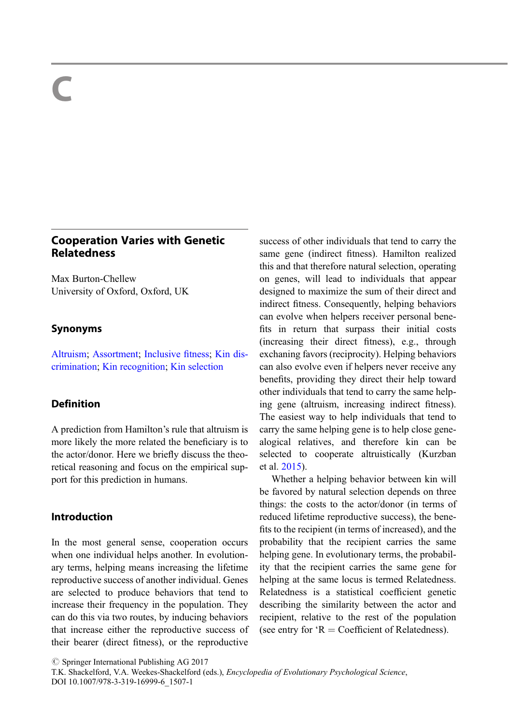# C

## Cooperation Varies with Genetic **Relatedness**

Max Burton-Chellew University of Oxford, Oxford, UK

## Synonyms

[Altruism](http://link.springer.com/Altruism); [Assortment](http://link.springer.com/Assortment); [Inclusive](http://link.springer.com/Inclusive fitness) fitness; [Kin dis](http://link.springer.com/Kin discrimination)[crimination](http://link.springer.com/Kin discrimination); [Kin recognition](http://link.springer.com/Kin recognition); [Kin selection](http://link.springer.com/Kin selection)

## Definition

A prediction from Hamilton's rule that altruism is more likely the more related the beneficiary is to the actor/donor. Here we briefly discuss the theoretical reasoning and focus on the empirical support for this prediction in humans.

## Introduction

In the most general sense, cooperation occurs when one individual helps another. In evolutionary terms, helping means increasing the lifetime reproductive success of another individual. Genes are selected to produce behaviors that tend to increase their frequency in the population. They can do this via two routes, by inducing behaviors that increase either the reproductive success of their bearer (direct fitness), or the reproductive

success of other individuals that tend to carry the same gene (indirect fitness). Hamilton realized this and that therefore natural selection, operating on genes, will lead to individuals that appear designed to maximize the sum of their direct and indirect fitness. Consequently, helping behaviors can evolve when helpers receiver personal benefits in return that surpass their initial costs (increasing their direct fitness), e.g., through exchaning favors (reciprocity). Helping behaviors can also evolve even if helpers never receive any benefits, providing they direct their help toward other individuals that tend to carry the same helping gene (altruism, increasing indirect fitness). The easiest way to help individuals that tend to carry the same helping gene is to help close genealogical relatives, and therefore kin can be selected to cooperate altruistically (Kurzban et al. [2015\)](#page-3-0).

Whether a helping behavior between kin will be favored by natural selection depends on three things: the costs to the actor/donor (in terms of reduced lifetime reproductive success), the benefits to the recipient (in terms of increased), and the probability that the recipient carries the same helping gene. In evolutionary terms, the probability that the recipient carries the same gene for helping at the same locus is termed Relatedness. Relatedness is a statistical coefficient genetic describing the similarity between the actor and recipient, relative to the rest of the population (see entry for  $R = Coefficient of Relatedness$ ).

 $\oslash$  Springer International Publishing AG 2017

T.K. Shackelford, V.A. Weekes-Shackelford (eds.), Encyclopedia of Evolutionary Psychological Science, DOI 10.1007/978-3-319-16999-6\_1507-1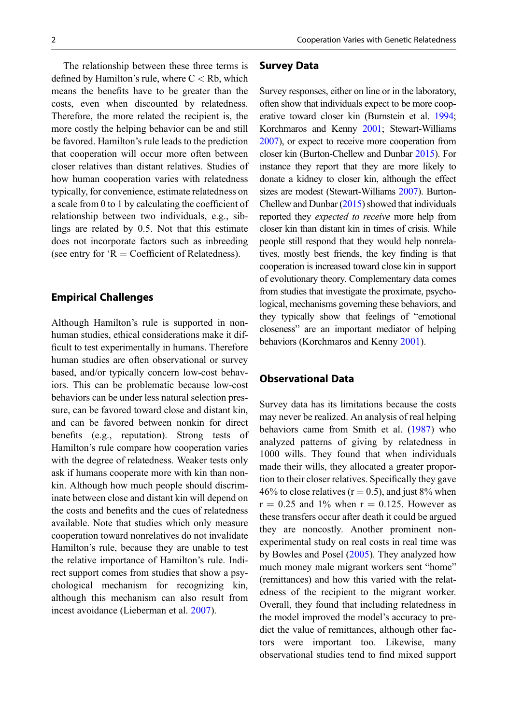The relationship between these three terms is defined by Hamilton's rule, where  $C < Rb$ , which means the benefits have to be greater than the costs, even when discounted by relatedness. Therefore, the more related the recipient is, the more costly the helping behavior can be and still be favored. Hamilton's rule leads to the prediction that cooperation will occur more often between closer relatives than distant relatives. Studies of how human cooperation varies with relatedness typically, for convenience, estimate relatedness on a scale from 0 to 1 by calculating the coefficient of relationship between two individuals, e.g., siblings are related by 0.5. Not that this estimate does not incorporate factors such as inbreeding (see entry for  $R = Coefficient of Relatedness$ ).

#### Empirical Challenges

Although Hamilton's rule is supported in nonhuman studies, ethical considerations make it difficult to test experimentally in humans. Therefore human studies are often observational or survey based, and/or typically concern low-cost behaviors. This can be problematic because low-cost behaviors can be under less natural selection pressure, can be favored toward close and distant kin, and can be favored between nonkin for direct benefits (e.g., reputation). Strong tests of Hamilton's rule compare how cooperation varies with the degree of relatedness. Weaker tests only ask if humans cooperate more with kin than nonkin. Although how much people should discriminate between close and distant kin will depend on the costs and benefits and the cues of relatedness available. Note that studies which only measure cooperation toward nonrelatives do not invalidate Hamilton's rule, because they are unable to test the relative importance of Hamilton's rule. Indirect support comes from studies that show a psychological mechanism for recognizing kin, although this mechanism can also result from incest avoidance (Lieberman et al. [2007\)](#page-3-0).

#### Survey Data

Survey responses, either on line or in the laboratory, often show that individuals expect to be more cooperative toward closer kin (Burnstein et al. [1994;](#page-2-0) Korchmaros and Kenny [2001;](#page-2-0) Stewart-Williams [2007](#page-3-0)), or expect to receive more cooperation from closer kin (Burton-Chellew and Dunbar [2015](#page-2-0)). For instance they report that they are more likely to donate a kidney to closer kin, although the effect sizes are modest (Stewart-Williams [2007\)](#page-3-0). Burton-Chellew and Dunbar ([2015\)](#page-2-0) showed that individuals reported they expected to receive more help from closer kin than distant kin in times of crisis. While people still respond that they would help nonrelatives, mostly best friends, the key finding is that cooperation is increased toward close kin in support of evolutionary theory. Complementary data comes from studies that investigate the proximate, psychological, mechanisms governing these behaviors, and they typically show that feelings of "emotional closeness" are an important mediator of helping behaviors (Korchmaros and Kenny [2001\)](#page-2-0).

## Observational Data

Survey data has its limitations because the costs may never be realized. An analysis of real helping behaviors came from Smith et al. [\(1987](#page-3-0)) who analyzed patterns of giving by relatedness in 1000 wills. They found that when individuals made their wills, they allocated a greater proportion to their closer relatives. Specifically they gave 46% to close relatives ( $r = 0.5$ ), and just 8% when  $r = 0.25$  and 1% when  $r = 0.125$ . However as these transfers occur after death it could be argued they are noncostly. Another prominent nonexperimental study on real costs in real time was by Bowles and Posel [\(2005](#page-2-0)). They analyzed how much money male migrant workers sent "home" (remittances) and how this varied with the relatedness of the recipient to the migrant worker. Overall, they found that including relatedness in the model improved the model's accuracy to predict the value of remittances, although other factors were important too. Likewise, many observational studies tend to find mixed support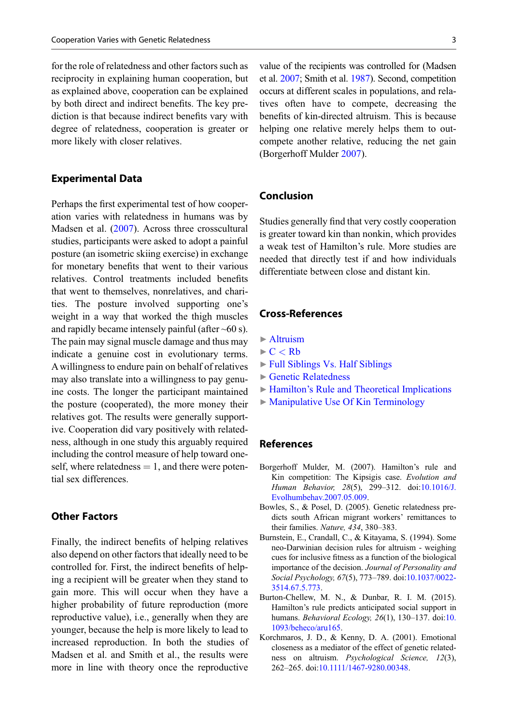<span id="page-2-0"></span>for the role of relatedness and other factors such as reciprocity in explaining human cooperation, but as explained above, cooperation can be explained by both direct and indirect benefits. The key prediction is that because indirect benefits vary with degree of relatedness, cooperation is greater or more likely with closer relatives.

#### Experimental Data

Perhaps the first experimental test of how cooperation varies with relatedness in humans was by Madsen et al. ([2007\)](#page-3-0). Across three crosscultural studies, participants were asked to adopt a painful posture (an isometric skiing exercise) in exchange for monetary benefits that went to their various relatives. Control treatments included benefits that went to themselves, nonrelatives, and charities. The posture involved supporting one's weight in a way that worked the thigh muscles and rapidly became intensely painful (after  $~60$  s). The pain may signal muscle damage and thus may indicate a genuine cost in evolutionary terms. A willingness to endure pain on behalf of relatives may also translate into a willingness to pay genuine costs. The longer the participant maintained the posture (cooperated), the more money their relatives got. The results were generally supportive. Cooperation did vary positively with relatedness, although in one study this arguably required including the control measure of help toward oneself, where relatedness  $= 1$ , and there were potential sex differences.

#### Other Factors

Finally, the indirect benefits of helping relatives also depend on other factors that ideally need to be controlled for. First, the indirect benefits of helping a recipient will be greater when they stand to gain more. This will occur when they have a higher probability of future reproduction (more reproductive value), i.e., generally when they are younger, because the help is more likely to lead to increased reproduction. In both the studies of Madsen et al. and Smith et al., the results were more in line with theory once the reproductive

value of the recipients was controlled for (Madsen et al. [2007;](#page-3-0) Smith et al. [1987\)](#page-3-0). Second, competition occurs at different scales in populations, and relatives often have to compete, decreasing the benefits of kin-directed altruism. This is because helping one relative merely helps them to outcompete another relative, reducing the net gain (Borgerhoff Mulder 2007).

#### Conclusion

Studies generally find that very costly cooperation is greater toward kin than nonkin, which provides a weak test of Hamilton's rule. More studies are needed that directly test if and how individuals differentiate between close and distant kin.

### Cross-References

- ▶ [Altruism](http://link.springer.com/Altruism)
- $\blacktriangleright$  C  $<$  [Rb](http://link.springer.com/C < Rb)
- ▶ [Full Siblings Vs. Half Siblings](http://link.springer.com/Full Siblings Vs. Half Siblings)
- ▶ [Genetic Relatedness](http://link.springer.com/Genetic Relatedness)
- ▶ Hamilton'[s Rule and Theoretical Implications](http://link.springer.com/Hamilton’s Rule and Theoretical Implications)
- ▶ [Manipulative Use Of Kin Terminology](http://link.springer.com/Manipulative Use Of Kin Terminology)

#### References

- Borgerhoff Mulder, M. (2007). Hamilton's rule and Kin competition: The Kipsigis case. Evolution and Human Behavior, 28(5), 299–312. doi[:10.1016/J.](http://dx.doi.org/10.1016/J.Evolhumbehav.2007.05.009) [Evolhumbehav.2007.05.009.](http://dx.doi.org/10.1016/J.Evolhumbehav.2007.05.009)
- Bowles, S., & Posel, D. (2005). Genetic relatedness predicts south African migrant workers' remittances to their families. Nature, 434, 380–383.
- Burnstein, E., Crandall, C., & Kitayama, S. (1994). Some neo-Darwinian decision rules for altruism - weighing cues for inclusive fitness as a function of the biological importance of the decision. Journal of Personality and Social Psychology, 67(5), 773–789. doi[:10.1037/0022-](http://dx.doi.org/10.1037/0022-3514.67.5.773) [3514.67.5.773.](http://dx.doi.org/10.1037/0022-3514.67.5.773)
- Burton-Chellew, M. N., & Dunbar, R. I. M. (2015). Hamilton's rule predicts anticipated social support in humans. Behavioral Ecology, 26(1), 130–137. doi:[10.](http://dx.doi.org/10.1093/beheco/aru165) [1093/beheco/aru165.](http://dx.doi.org/10.1093/beheco/aru165)
- Korchmaros, J. D., & Kenny, D. A. (2001). Emotional closeness as a mediator of the effect of genetic relatedness on altruism. Psychological Science, 12(3), 262–265. doi:[10.1111/1467-9280.00348.](http://dx.doi.org/10.1111/1467-9280.00348)